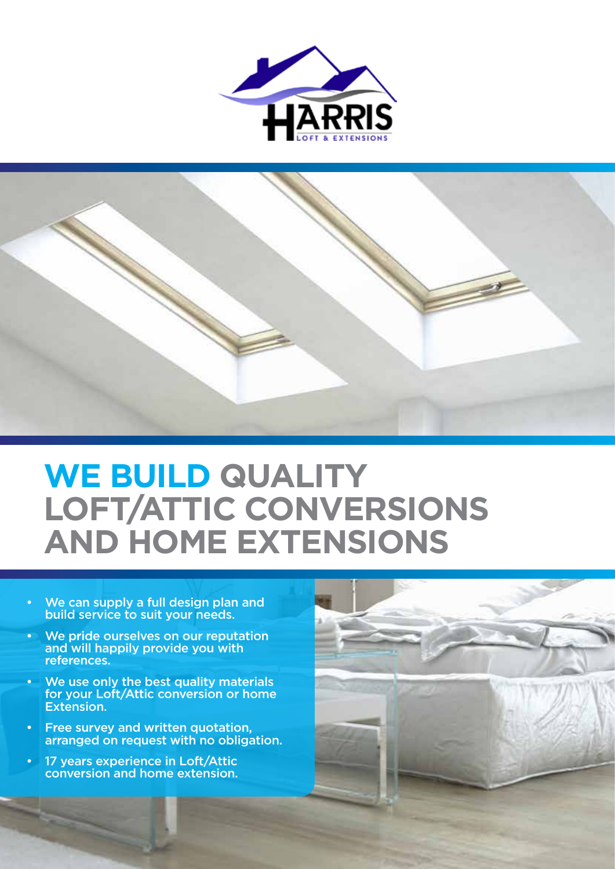



# **WE BUILD QUALITY LOFT/ATTIC CONVERSIONS AND HOME EXTENSIONS**

- We can supply a full design plan and build service to suit your needs.
- We pride ourselves on our reputation and will happily provide you with references.
- We use only the best quality materials for your Loft/Attic conversion or home Extension.
- Free survey and written quotation, arranged on request with no obligation.
- 17 years experience in Loft/Attic conversion and home extension.

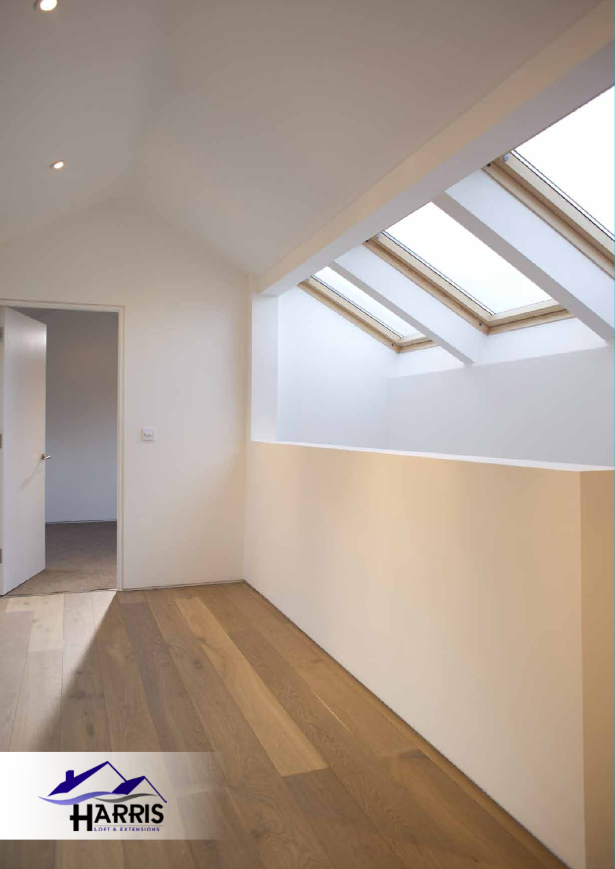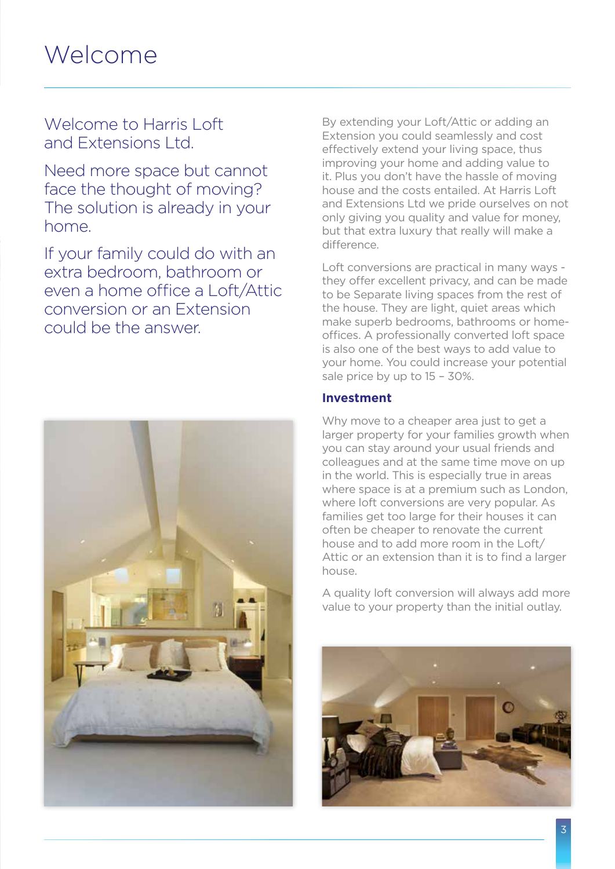### Welcome

Welcome to Harris Loft and Extensions Ltd.

Need more space but cannot face the thought of moving? The solution is already in your home.

If your family could do with an extra bedroom, bathroom or even a home office a Loft/Attic conversion or an Extension could be the answer.



By extending your Loft/Attic or adding an Extension you could seamlessly and cost effectively extend your living space, thus improving your home and adding value to it. Plus you don't have the hassle of moving house and the costs entailed. At Harris Loft and Extensions Ltd we pride ourselves on not only giving you quality and value for money, but that extra luxury that really will make a difference.

Loft conversions are practical in many ways they offer excellent privacy, and can be made to be Separate living spaces from the rest of the house. They are light, quiet areas which make superb bedrooms, bathrooms or homeoffices. A professionally converted loft space is also one of the best ways to add value to your home. You could increase your potential sale price by up to 15 – 30%.

#### **Investment**

Why move to a cheaper area just to get a larger property for your families growth when you can stay around your usual friends and colleagues and at the same time move on up in the world. This is especially true in areas where space is at a premium such as London, where loft conversions are very popular. As families get too large for their houses it can often be cheaper to renovate the current house and to add more room in the Loft/ Attic or an extension than it is to find a larger house.

A quality loft conversion will always add more value to your property than the initial outlay.

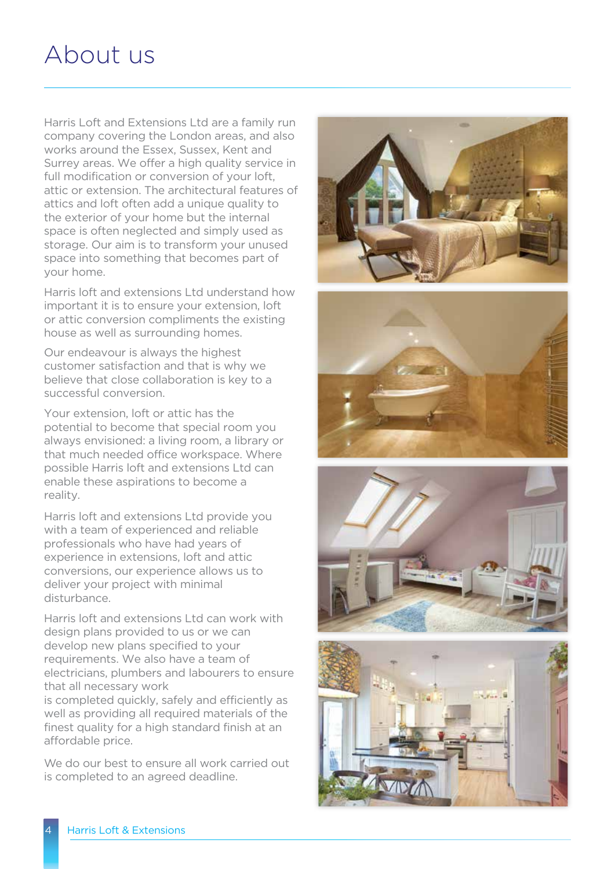### About us

Harris Loft and Extensions Ltd are a family run company covering the London areas, and also works around the Essex, Sussex, Kent and Surrey areas. We offer a high quality service in full modification or conversion of your loft. attic or extension. The architectural features of attics and loft often add a unique quality to the exterior of your home but the internal space is often neglected and simply used as storage. Our aim is to transform your unused space into something that becomes part of your home.

Harris loft and extensions Ltd understand how important it is to ensure your extension, loft or attic conversion compliments the existing house as well as surrounding homes.

Our endeavour is always the highest customer satisfaction and that is why we believe that close collaboration is key to a successful conversion.

Your extension, loft or attic has the potential to become that special room you always envisioned: a living room, a library or that much needed office workspace. Where possible Harris loft and extensions Ltd can enable these aspirations to become a reality.

Harris loft and extensions Ltd provide you with a team of experienced and reliable professionals who have had years of experience in extensions, loft and attic conversions, our experience allows us to deliver your project with minimal disturbance.

Harris loft and extensions Ltd can work with design plans provided to us or we can develop new plans specified to your requirements. We also have a team of electricians, plumbers and labourers to ensure that all necessary work is completed quickly, safely and efficiently as well as providing all required materials of the finest quality for a high standard finish at an affordable price.

We do our best to ensure all work carried out is completed to an agreed deadline.







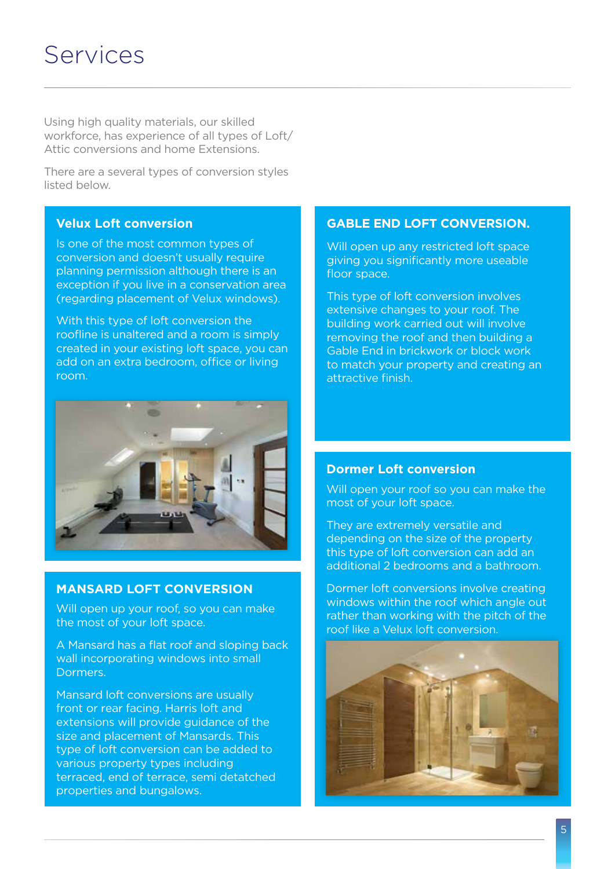### Services

Using high quality materials, our skilled workforce, has experience of all types of Loft/ Attic conversions and home Extensions.

There are a several types of conversion styles listed below.

#### **Velux Loft conversion**

Is one of the most common types of conversion and doesn't usually require planning permission although there is an exception if you live in a conservation area (regarding placement of Velux windows).

With this type of loft conversion the roofline is unaltered and a room is simply created in your existing loft space, you can add on an extra bedroom, office or living room.



#### **MANSARD LOFT CONVERSION**

Will open up your roof, so you can make the most of your loft space.

A Mansard has a flat roof and sloping back wall incorporating windows into small Dormers.

Mansard loft conversions are usually front or rear facing. Harris loft and extensions will provide guidance of the size and placement of Mansards. This type of loft conversion can be added to various property types including terraced, end of terrace, semi detatched properties and bungalows.

#### **GABLE END LOFT CONVERSION.**

Will open up any restricted loft space giving you significantly more useable floor space.

This type of loft conversion involves extensive changes to your roof. The building work carried out will involve removing the roof and then building a Gable End in brickwork or block work to match your property and creating an attractive finish.

#### **Dormer Loft conversion**

Will open your roof so you can make the most of your loft space.

They are extremely versatile and depending on the size of the property this type of loft conversion can add an additional 2 bedrooms and a bathroom.

Dormer loft conversions involve creating windows within the roof which angle out rather than working with the pitch of the roof like a Velux loft conversion.

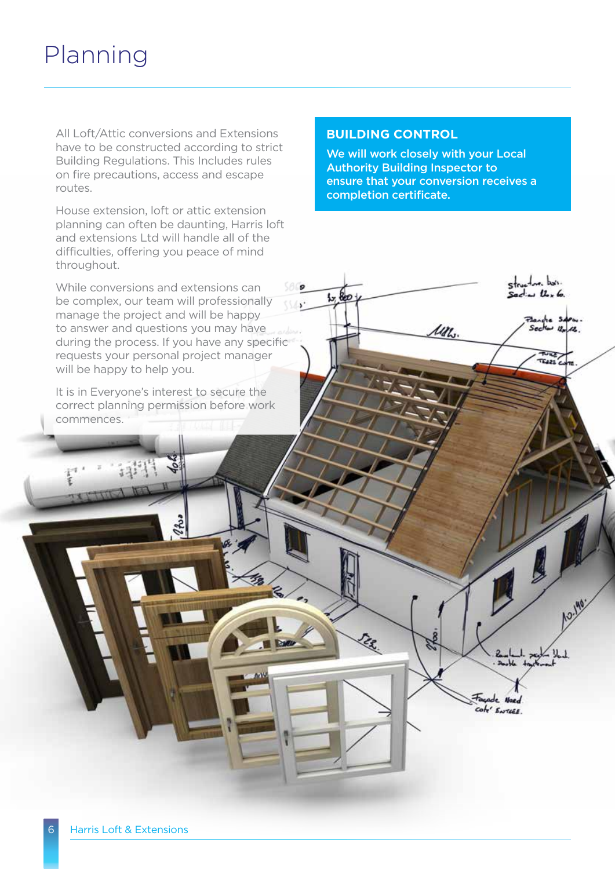## Planning

All Loft/Attic conversions and Extensions have to be constructed according to strict Building Regulations. This Includes rules on fire precautions, access and escape routes.

House extension, loft or attic extension planning can often be daunting, Harris loft and extensions Ltd will handle all of the difficulties, offering you peace of mind throughout.

While conversions and extensions can be complex, our team will professionally manage the project and will be happy to answer and questions you may have during the process. If you have any specific requests your personal project manager will be happy to help you.

It is in Everyone's interest to secure the correct planning permission before work commences.

#### **BUILDING CONTROL**

 $1,80$ 

We will work closely with your Local Authority Building Inspector to ensure that your conversion receives a completion certificate.

 $-$  bet.

Flanche Salem.<br>Sector 12 12.

 $11.6$ 

Cole' ENTERE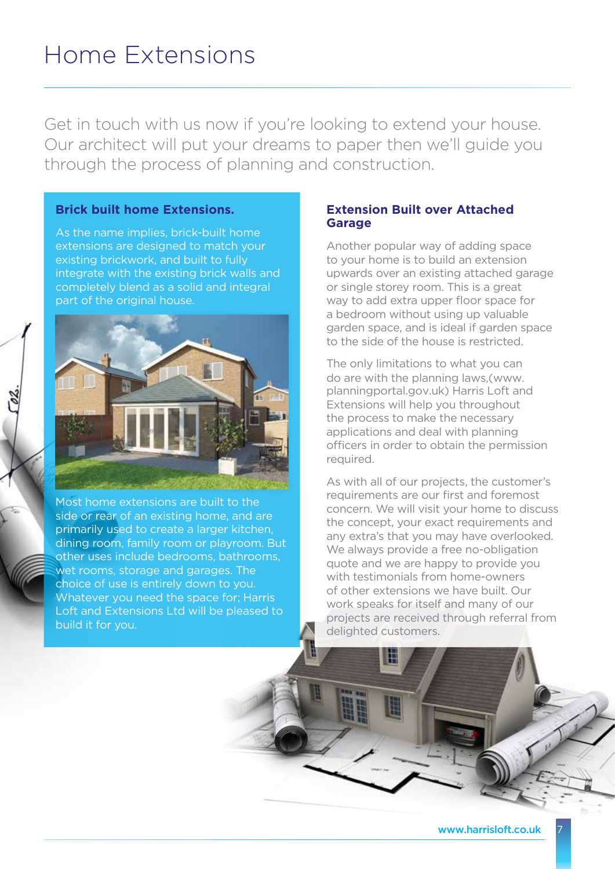Get in touch with us now if you're looking to extend your house. Our architect will put your dreams to paper then we'll guide you through the process of planning and construction.

#### **Brick built home Extensions.**

As the name implies, brick-built home extensions are designed to match your existing brickwork, and built to fully integrate with the existing brick walls and completely blend as a solid and integral part of the original house.



Most home extensions are built to the side or rear of an existing home, and are primarily used to create a larger kitchen, dining room, family room or playroom. But other uses include bedrooms, bathrooms, wet rooms, storage and garages. The choice of use is entirely down to you. Whatever you need the space for; Harris Loft and Extensions Ltd will be pleased to build it for you.

#### **Extension Built over Attached Garage**

Another popular way of adding space to your home is to build an extension upwards over an existing attached garage or single storey room. This is a great way to add extra upper floor space for a bedroom without using up valuable garden space, and is ideal if garden space to the side of the house is restricted.

The only limitations to what you can do are with the planning laws,(www. planningportal.gov.uk) Harris Loft and Extensions will help you throughout the process to make the necessary applications and deal with planning officers in order to obtain the permission required.

As with all of our projects, the customer's requirements are our first and foremost concern. We will visit your home to discuss the concept, your exact requirements and any extra's that you may have overlooked. We always provide a free no-obligation quote and we are happy to provide you with testimonials from home-owners of other extensions we have built. Our work speaks for itself and many of our projects are received through referral from delighted customers.